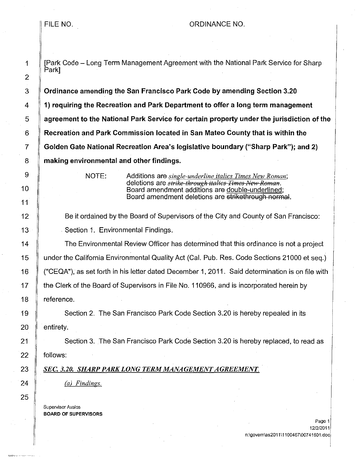## FILE NO. A RESERVE TO A RESERVE THE RESERVE TO A RESERVE THE RESERVE TO A RESERVE THE RESERVE TO A RESERVE THE

1 **If IPark Code – Long Term Management Agreement with the National Park Service for Sharp** Park]

**Ordinance amending the San Francisco Park Code by amending Section 3.20 1) requiring the Recreation and Park Department to offer a long term management agreement to the National Park Service for certain property under the jurisdiction of the Recreation and Park Commission located in San Mateo County that is within the Golden Gate National Recreation Area's legislative boundary ("Sharp Park"); and 2) making environmental and other findings.** 

NOTE: Additions are *single-underline italics Times New Roman;*  deletions are *strike-through italics Times New Roman*. Board amendment additions are double-underlined; Board amendment deletions are strikethrough normal.

12 Be it ordained by the Board of Supervisors of the City and County of San Francisco: 13 | Section 1. Environmental Findings.

14 The Environmental Review Officer has determined that this ordinance is not a project 15 under the California Environmental Quality Act (Cal. Pub. Res. Code Sections 21000 et seq.) 16 ("CEQA"), as set forth in his letter dated December 1, 2011. Said determination is on file with 17 The Clerk of the Board of Supervisors in File No. 110966, and is incorporated herein by 18 Feference.

19 Section 2. The San Francisco Park Code Section 3.20 is hereby repealed in its  $20$  | entirety.

21 Section 3. The San Francisco Park Code Section 3.20 is hereby replaced, to read as 22 **follows:** 

## 23 **SEC. 3.20. SHARP PARK LONG TERM MANAGEMENT AGREEMENT.**

*(a) Findings.* 

**Supervisor Avalos**  BOARD OF SUPERVISORS  $\left| \ \right|$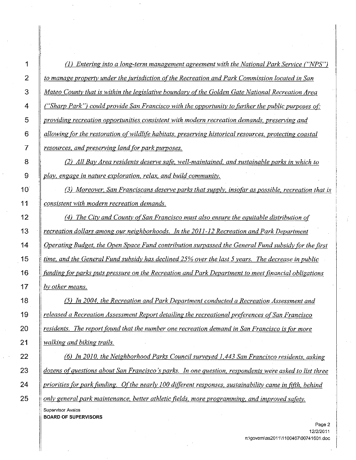| (1) Entering into a long-term management agreement with the National Park Service ("NPS")                |
|----------------------------------------------------------------------------------------------------------|
| to manage property under the jurisdiction of the Recreation and Park Commission located in San           |
| Mateo County that is within the legislative boundary of the Golden Gate National Recreation Area         |
| ("Sharp Park") could provide San Francisco with the opportunity to further the public purposes of:       |
| providing recreation opportunities consistent with modern recreation demands, preserving and             |
| allowing for the restoration of wildlife habitats, preserving historical resources, protecting coastal   |
| resources, and preserving land for park purposes.                                                        |
| (2) All Bay Area residents deserve safe, well-maintained, and sustainable parks in which to              |
| play, engage in nature exploration, relax, and build community.                                          |
| (3) Moreover, San Franciscans deserve parks that supply, insofar as possible, recreation that is         |
| consistent with modern recreation demands.                                                               |
| (4) The City and County of San Francisco must also ensure the equitable distribution of                  |
| recreation dollars among our neighborhoods. In the 2011-12 Recreation and Park Department                |
| Operating Budget, the Open Space Fund contribution surpassed the General Fund subsidy for the first      |
| time, and the General Fund subsidy has declined 25% over the last 5 years. The decrease in public        |
| funding for parks puts pressure on the Recreation and Park Department to meet financial obligations      |
| by other means.                                                                                          |
| (5) In 2004, the Recreation and Park Department conducted a Recreation Assessment and                    |
| released a Recreation Assessment Report detailing the recreational preferences of San Francisco          |
| residents. The report found that the number one recreation demand in San Francisco is for more           |
| walking and biking trails.                                                                               |
| (6) In 2010, the Neighborhood Parks Council surveyed 1,443 San Francisco residents, asking               |
| dozens of questions about San Francisco's parks. In one question, respondents were asked to list three   |
| priorities for park funding. Of the nearly 100 different responses, sustainability came in fifth, behind |
| only general park maintenance, better athletic fields, more programming, and improved safety.            |
| Supervisor Avalos<br><b>BOARD OF SUPERVISORS</b>                                                         |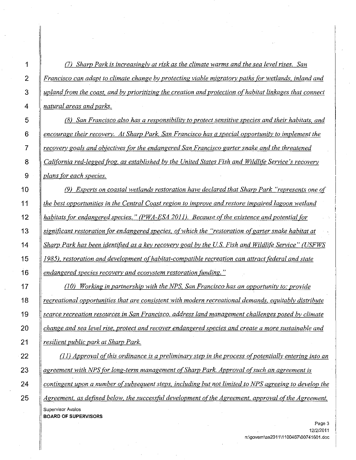*(7) Sharp Park is increasingly at risk as the climate warms and the sea level rises. San Francisco can adapt to climate change by protecting viable migratory paths for wetlands. inland and upland (rom the coast. and by prioritizing the creation and protection of habitat linkages that connect natural areas and parks. (8) San Francisco also has a responsibility to protect sensitive species and their habitats. and encourage their recovery. At Sharp Park. San Francisco has a special opportunity to implement the recovery goals and obiectives for the endangered San Francisco garter snake and the threatened California red-legged frog, as established by the United States Fish and Wildlife Service's recovery plans for each species.*  (9) *Experts on coastal wetlands restoration have declared that Sharp Park "represents one of the best opportunities in the Central Coast region to improve and restore impaired lagoon wetland*  habitats for endangered species." (PWA-ESA 2011). Because of the existence and potential for *significant restoration for endangered species. of which the "restoration ofgarter snake habitat at Sharp Park has been identified as a key recovery goal by the US. Fish and Wildlife Service" (USFWS*  1985), restoration and development of habitat-compatible recreation can attract federal and state *endangered species recovery and ecosystem restoration fUnding.* " *(10) Working in partnership with the NPS, San Francisco has an opportunity to: provide recreational opportunities that are consistent with modern recreational demands, equitably distribute scarce recreation resources in San Francisco, address land management challenges posed by climate change and sea level rise, protect and recover endangered species and create a more sustainable and resilient public park at Sharp Park. (11) Approval o(\_ this ordinance is a preliminary step in the process o(\_potentially entering into an*  agreement with NPS for long-term management of Sharp Park. Approval of such an agreement is *contingent upon a number of\_ subsequent steps, including but not limited to NPS agreeing to develop the*  Agreement, as defined below, the successful development of the Agreement, approval of the Agreement, **Supervisor Avalos**  BOARD OF SUPERVISORS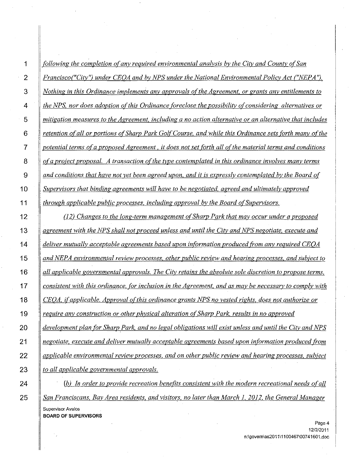| following the completion of any required environmental analysis by the City and County of San           |
|---------------------------------------------------------------------------------------------------------|
| Francisco("City") under CEOA and by NPS under the National Environmental Policy Act ("NEPA").           |
| Nothing in this Ordinance implements any approvals of the Agreement, or grants any entitlements to      |
| the NPS, nor does adoption of this Ordinance foreclose the possibility of considering alternatives or   |
| mitigation measures to the Agreement, including a no action alternative or an alternative that includes |
| retention of all or portions of Sharp Park Golf Course, and while this Ordinance sets forth many of the |
| potential terms of a proposed Agreement, it does not set forth all of the material terms and conditions |
| of a project proposal. A transaction of the type contemplated in this ordinance involves many terms     |
| and conditions that have not yet been agreed upon, and it is expressly contemplated by the Board of     |
| Supervisors that binding agreements will have to be negotiated, agreed and ultimately approved          |
| through applicable public processes, including approval by the Board of Supervisors.                    |
| (12) Changes to the long-term management of Sharp Park that may occur under a proposed                  |
| agreement with the NPS shall not proceed unless and until the City and NPS negotiate, execute and       |
| deliver mutually acceptable agreements based upon information produced from any required CEOA           |
| and NEPA environmental review processes, other public review and hearing processes, and subject to      |
|                                                                                                         |
| all applicable governmental approvals. The City retains the absolute sole discretion to propose terms,  |
| consistent with this ordinance, for inclusion in the Agreement, and as may be necessary to comply with  |
| CEOA, if applicable. Approval of this ordinance grants NPS no vested rights, does not authorize or      |
| require any construction or other physical alteration of Sharp Park, results in no approved             |
| development plan for Sharp Park, and no legal obligations will exist unless and until the City and NPS  |
| negotiate, execute and deliver mutually acceptable agreements based upon information produced from      |

*to all applicable governmental approvals.* 

*(b) In order to provide recreation benefits consistent with the modern recreational needs of all San Franciscans, Bay Area residents, and visitors, no later than March I, 2012, the General Manager*  **Supervisor Avalos BOARD OF SUPERVISORS** 

25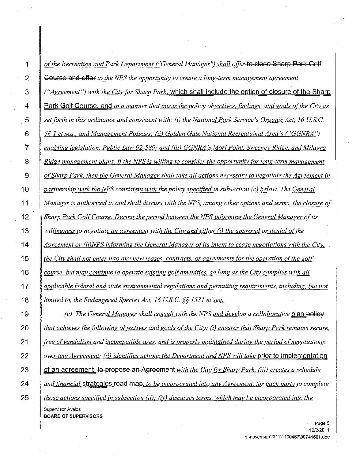| of the Recreation and Park Department ("General Manager") shall offer to close Sharp Park Golf                |
|---------------------------------------------------------------------------------------------------------------|
| <b>Course and offer</b> to the NPS the opportunity to create a long-term management agreement                 |
| ("Agreement") with the City for Sharp Park, which shall include the option of closure of the Sharp            |
| <u>Park Golf Course, and in a manner that meets the policy objectives, findings, and goals of the City as</u> |
| set forth in this ordinance and consistent with: (i) the National Park Service's Organic Act, 16 U.S.C.       |
| §§ 1 et seq., and Management Policies; (ii) Golden Gate National Recreational Area's ("GGNRA")                |
| enabling legislation, Public Law 92-589; and (iii) GGNRA's Mori Point, Sweeney Ridge, and Milagra             |
| Ridge management plans. If the NPS is willing to consider the opportunity for long-term management            |
| of Sharp Park, then the General Manager shall take all actions necessary to negotiate the Agreement in        |
| partnership with the NPS consistent with the policy specified in subsection (c) below. The General            |
| Manager is authorized to and shall discuss with the NPS, among other options and terms, the closure of        |
| Sharp Park Golf Course. During the period between the NPS informing the General Manager of its                |
| willingness to negotiate an agreement with the City and either (i) the approval or denial of the              |
| Agreement or (ii)NPS informing the General Manager of its intent to cease negotiations with the City,         |
| the City shall not enter into any new leases, contracts, or agreements for the operation of the golf          |
| course, but may continue to operate existing golf amenities, so long as the City complies with all            |
| applicable federal and state environmental regulations and permitting requirements, including, but not        |
| limited to, the Endangered Species Act, 16 U.S.C. $\S$ 1531 et seq.                                           |
| (c) The General Manager shall consult with the NPS and develop a collaborative plan policy                    |
| that achieves the following objectives and goals of the City: (i) ensures that Sharp Park remains secure,     |
| free of vandalism and incompatible uses, and is properly maintained during the period of negotiations         |
| over any Agreement; (ii) identifies actions the Department and NPS will take prior to implementation          |
| of an agreement to propose an Agreement with the City for Sharp Park, (iii) creates a schedule                |
| and financial strategies road map, to be incorporated into any Agreement, for each party to complete          |
| those actions specified in subsection (ii); (iy) discusses terms, which may be incorporated into the          |
| Supervisor Avalos<br><b>BOARD OF SUPERVISORS</b>                                                              |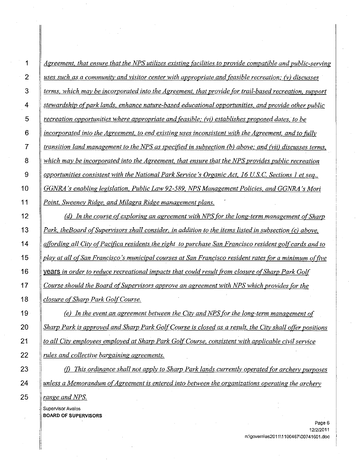| <u>Agreement, that ensure that the NPS utilizes existing facilities to provide compatible and public-serving</u> |
|------------------------------------------------------------------------------------------------------------------|
| uses such as a community and visitor center with appropriate and feasible recreation; (v) discusses              |
| terms, which may be incorporated into the Agreement, that provide for trail-based recreation, support            |
| stewardship of park lands, enhance nature-based educational opportunities, and provide other public              |
| recreation opportunities where appropriate and feasible; (vi) establishes proposed dates, to be                  |
| incorporated into the Agreement, to end existing uses inconsistent with the Agreement, and to fully              |
| transition land management to the NPS as specified in subsection $(b)$ above; and (vii) discusses terms,         |
| which may be incorporated into the Agreement, that ensure that the NPS provides public recreation                |
| opportunities consistent with the National Park Service's Organic Act, 16 U.S.C. Sections 1 et seq.,             |
| GGNRA's enabling legislation, Public Law 92-589, NPS Management Policies, and GGNRA's Mori                       |
| Point, Sweeney Ridge, and Milagra Ridge management plans.                                                        |
| (d) In the course of exploring an agreement with NPS for the long-term management of Sharp                       |
| Park, the Board of Supervisors shall consider, in addition to the items listed in subsection (c) above,          |
| affording all City of Pacifica residents the right to purchase San Francisco resident golf cards and to          |
| <u>play at all of San Francisco's municipal courses at San Francisco resident rates for a minimum of five</u>    |
| <u>years in order to reduce recreational impacts that could result from closure of Sharp Park Golf</u>           |
| Course should the Board of Supervisors approve an agreement with NPS which provides for the                      |
| <u>closure of Sharp Park Golf Course.</u>                                                                        |
| (e) In the event an agreement between the City and NPS for the long-term management of                           |
| Sharp Park is approved and Sharp Park Golf Course is closed as a result, the City shall offer positions          |
| to all City employees employed at Sharp Park Golf Course, consistent with applicable civil service               |
| rules and collective bargaining agreements.                                                                      |
| This ordinance shall not apply to Sharp Park lands currently operated for archery purposes                       |
| unless a Memorandum of Agreement is entered into between the organizations operating the archery                 |
| range and NPS.                                                                                                   |

**Supervisor Avalos BOARD OF SUPERVISORS**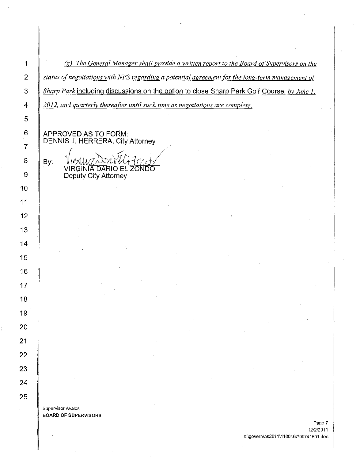(g) *The General Manager shall provide a written report to the Board of Supervisors on the status of negotiations with NPS regarding a potential agreement (or the long-term management of Sharp Park* including discussions on the option to close Sharp Park Golf Course. *by June 1. 2012. and quarterly thereafter until such time as negotiations are complete.* 

*/* 

APPROVED AS TO FORM: DENNIS J. HERRERA, City Attorney

By: VIRGINIA DARIO ELIZONDO Deputy City Attorney */ /* 

**Supervisor Avalos**  BOARD OF SUPERVISORS